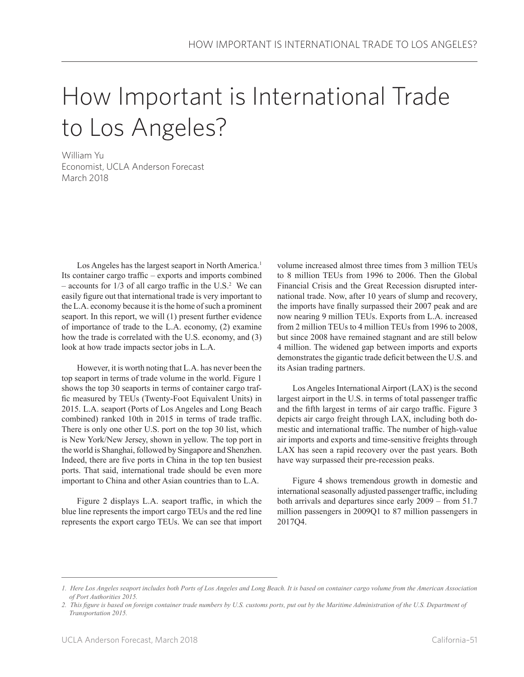# How Important is International Trade to Los Angeles?

William Yu Economist, UCLA Anderson Forecast March 2018

Los Angeles has the largest seaport in North America.<sup>1</sup> Its container cargo traffic – exports and imports combined  $-$  accounts for  $1/3$  of all cargo traffic in the U.S.<sup>2</sup> We can easily figure out that international trade is very important to the L.A. economy because it is the home of such a prominent seaport. In this report, we will (1) present further evidence of importance of trade to the L.A. economy, (2) examine how the trade is correlated with the U.S. economy, and (3) look at how trade impacts sector jobs in L.A.

However, it is worth noting that L.A. has never been the top seaport in terms of trade volume in the world. Figure 1 shows the top 30 seaports in terms of container cargo traffic measured by TEUs (Twenty-Foot Equivalent Units) in 2015. L.A. seaport (Ports of Los Angeles and Long Beach combined) ranked 10th in 2015 in terms of trade traffic. There is only one other U.S. port on the top 30 list, which is New York/New Jersey, shown in yellow. The top port in the world is Shanghai, followed by Singapore and Shenzhen. Indeed, there are five ports in China in the top ten busiest ports. That said, international trade should be even more important to China and other Asian countries than to L.A.

Figure 2 displays L.A. seaport traffic, in which the blue line represents the import cargo TEUs and the red line represents the export cargo TEUs. We can see that import volume increased almost three times from 3 million TEUs to 8 million TEUs from 1996 to 2006. Then the Global Financial Crisis and the Great Recession disrupted international trade. Now, after 10 years of slump and recovery, the imports have finally surpassed their 2007 peak and are now nearing 9 million TEUs. Exports from L.A. increased from 2 million TEUs to 4 million TEUs from 1996 to 2008, but since 2008 have remained stagnant and are still below 4 million. The widened gap between imports and exports demonstrates the gigantic trade deficit between the U.S. and its Asian trading partners.

Los Angeles International Airport (LAX) is the second largest airport in the U.S. in terms of total passenger traffic and the fifth largest in terms of air cargo traffic. Figure 3 depicts air cargo freight through LAX, including both domestic and international traffic. The number of high-value air imports and exports and time-sensitive freights through LAX has seen a rapid recovery over the past years. Both have way surpassed their pre-recession peaks.

Figure 4 shows tremendous growth in domestic and international seasonally adjusted passenger traffic, including both arrivals and departures since early 2009 – from 51.7 million passengers in 2009Q1 to 87 million passengers in 2017Q4.

*<sup>1.</sup> Here Los Angeles seaport includes both Ports of Los Angeles and Long Beach. It is based on container cargo volume from the American Association of Port Authorities 2015.* 

*<sup>2.</sup> This figure is based on foreign container trade numbers by U.S. customs ports, put out by the Maritime Administration of the U.S. Department of Transportation 2015.*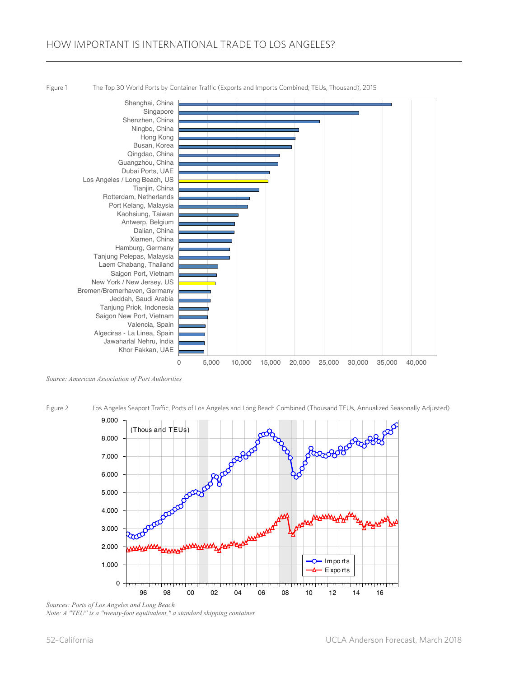

Figure 1 The Top 30 World Ports by Container Traffic (Exports and Imports Combined; TEUs, Thousand), 2015

Figure 2 Los Angeles Seaport Traffic, Ports of Los Angeles and Long Beach Combined (Thousand TEUs, Annualized Seasonally Adjusted)



*Sources: Ports of Los Angeles and Long Beach Note: A "TEU" is a "twenty-foot equiivalent," a standard shipping container*

*Source: American Association of Port Authorities*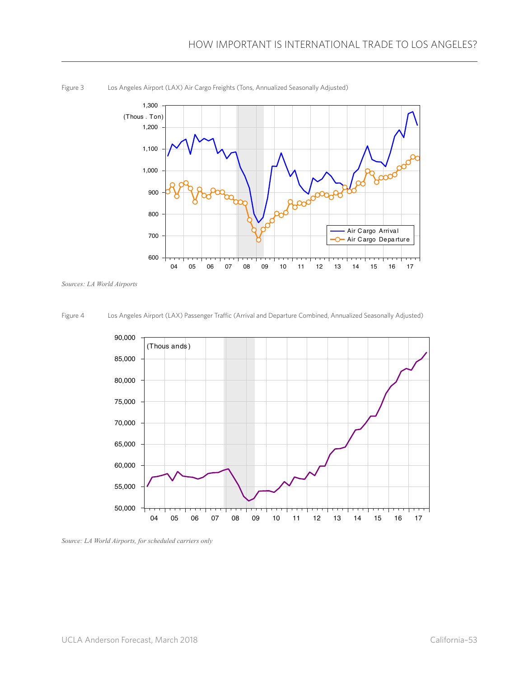

Figure 3 Los Angeles Airport (LAX) Air Cargo Freights (Tons, Annualized Seasonally Adjusted)

*Sources: LA World Airports*

Figure 4 Los Angeles Airport (LAX) Passenger Traffic (Arrival and Departure Combined, Annualized Seasonally Adjusted)



*Source: LA World Airports, for scheduled carriers only*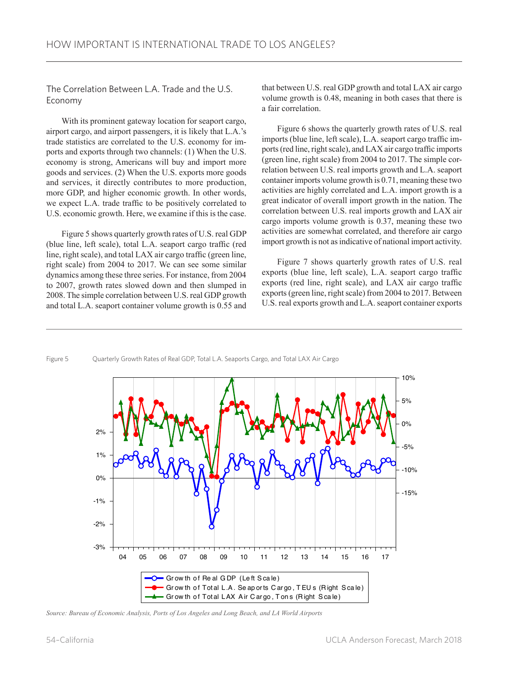The Correlation Between L.A. Trade and the U.S. Economy

With its prominent gateway location for seaport cargo, airport cargo, and airport passengers, it is likely that L.A.'s trade statistics are correlated to the U.S. economy for imports and exports through two channels: (1) When the U.S. economy is strong, Americans will buy and import more goods and services. (2) When the U.S. exports more goods and services, it directly contributes to more production, more GDP, and higher economic growth. In other words, we expect L.A. trade traffic to be positively correlated to U.S. economic growth. Here, we examine if this is the case.

Figure 5 shows quarterly growth rates of U.S. real GDP (blue line, left scale), total L.A. seaport cargo traffic (red line, right scale), and total LAX air cargo traffic (green line, right scale) from 2004 to 2017. We can see some similar dynamics among these three series. For instance, from 2004 to 2007, growth rates slowed down and then slumped in 2008. The simple correlation between U.S. real GDP growth and total L.A. seaport container volume growth is 0.55 and that between U.S. real GDP growth and total LAX air cargo volume growth is 0.48, meaning in both cases that there is a fair correlation.

Figure 6 shows the quarterly growth rates of U.S. real imports (blue line, left scale), L.A. seaport cargo traffic imports (red line, right scale), and LAX air cargo traffic imports (green line, right scale) from 2004 to 2017. The simple correlation between U.S. real imports growth and L.A. seaport container imports volume growth is 0.71, meaning these two activities are highly correlated and L.A. import growth is a great indicator of overall import growth in the nation. The correlation between U.S. real imports growth and LAX air cargo imports volume growth is 0.37, meaning these two activities are somewhat correlated, and therefore air cargo import growth is not as indicative of national import activity.

Figure 7 shows quarterly growth rates of U.S. real exports (blue line, left scale), L.A. seaport cargo traffic exports (red line, right scale), and LAX air cargo traffic exports (green line, right scale) from 2004 to 2017. Between U.S. real exports growth and L.A. seaport container exports

#### Figure 5 Quarterly Growth Rates of Real GDP, Total L.A. Seaports Cargo, and Total LAX Air Cargo



*Source: Bureau of Economic Analysis, Ports of Los Angeles and Long Beach, and LA World Airports*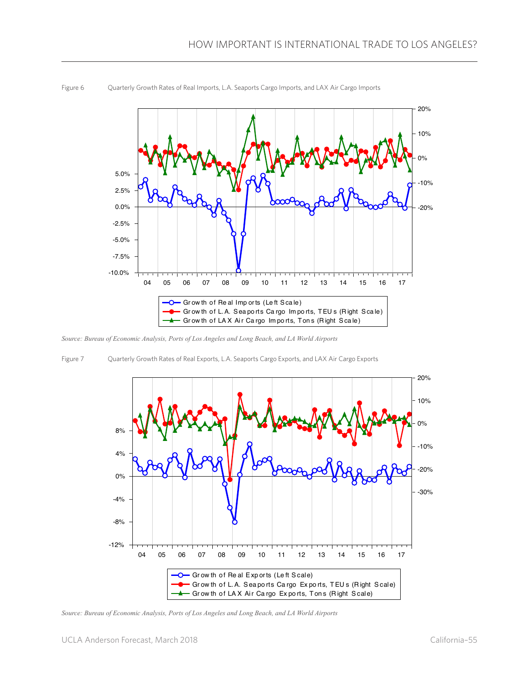

Figure 6 Quarterly Growth Rates of Real Imports, L.A. Seaports Cargo Imports, and LAX Air Cargo Imports

*Source: Bureau of Economic Analysis, Ports of Los Angeles and Long Beach, and LA World Airports*

Figure 7 Quarterly Growth Rates of Real Exports, L.A. Seaports Cargo Exports, and LAX Air Cargo Exports



*Source: Bureau of Economic Analysis, Ports of Los Angeles and Long Beach, and LA World Airports*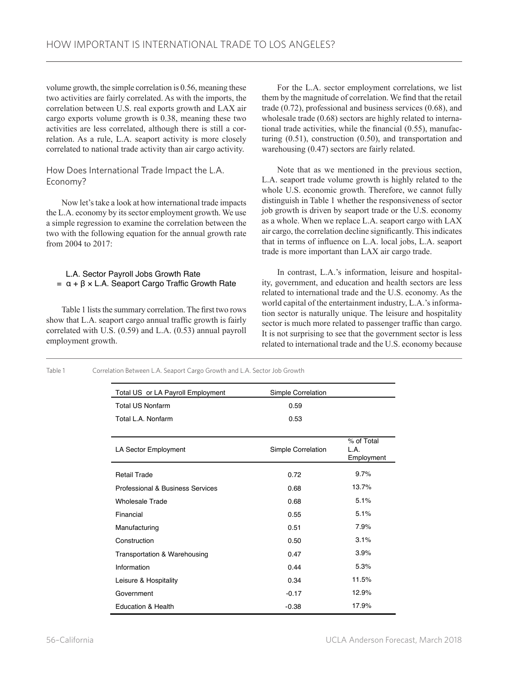volume growth, the simple correlation is 0.56, meaning these two activities are fairly correlated. As with the imports, the correlation between U.S. real exports growth and LAX air cargo exports volume growth is 0.38, meaning these two activities are less correlated, although there is still a correlation. As a rule, L.A. seaport activity is more closely correlated to national trade activity than air cargo activity.

# How Does International Trade Impact the L.A. Economy?

Now let's take a look at how international trade impacts the L.A. economy by its sector employment growth. We use a simple regression to examine the correlation between the two with the following equation for the annual growth rate from 2004 to 2017:

# L.A. Sector Payroll Jobs Growth Rate  $= α + β × L.A.$  Seaport Cargo Traffic Growth Rate

Table 1 lists the summary correlation. The first two rows show that L.A. seaport cargo annual traffic growth is fairly correlated with U.S. (0.59) and L.A. (0.53) annual payroll employment growth.

For the L.A. sector employment correlations, we list them by the magnitude of correlation. We find that the retail trade (0.72), professional and business services (0.68), and wholesale trade (0.68) sectors are highly related to international trade activities, while the financial (0.55), manufacturing (0.51), construction (0.50), and transportation and warehousing (0.47) sectors are fairly related.

Note that as we mentioned in the previous section, L.A. seaport trade volume growth is highly related to the whole U.S. economic growth. Therefore, we cannot fully distinguish in Table 1 whether the responsiveness of sector job growth is driven by seaport trade or the U.S. economy as a whole. When we replace L.A. seaport cargo with LAX air cargo, the correlation decline significantly. This indicates that in terms of influence on L.A. local jobs, L.A. seaport trade is more important than LAX air cargo trade.

In contrast, L.A.'s information, leisure and hospitality, government, and education and health sectors are less related to international trade and the U.S. economy. As the world capital of the entertainment industry, L.A.'s information sector is naturally unique. The leisure and hospitality sector is much more related to passenger traffic than cargo. It is not surprising to see that the government sector is less related to international trade and the U.S. economy because

Table 1 Correlation Between L.A. Seaport Cargo Growth and L.A. Sector Job Growth

| Total US or LA Payroll Employment | Simple Correlation |                                  |
|-----------------------------------|--------------------|----------------------------------|
| <b>Total US Nonfarm</b>           | 0.59               |                                  |
| Total L.A. Nonfarm                | 0.53               |                                  |
|                                   |                    |                                  |
| LA Sector Employment              | Simple Correlation | % of Total<br>L.A.<br>Employment |
| <b>Retail Trade</b>               | 0.72               | 9.7%                             |
| Professional & Business Services  | 0.68               | 13.7%                            |
| <b>Wholesale Trade</b>            | 0.68               | 5.1%                             |
| Financial                         | 0.55               | 5.1%                             |
| Manufacturing                     | 0.51               | 7.9%                             |
| Construction                      | 0.50               | 3.1%                             |
| Transportation & Warehousing      | 0.47               | 3.9%                             |
| Information                       | 0.44               | 5.3%                             |
| Leisure & Hospitality             | 0.34               | 11.5%                            |
| Government                        | $-0.17$            | 12.9%                            |
| <b>Education &amp; Health</b>     | $-0.38$            | 17.9%                            |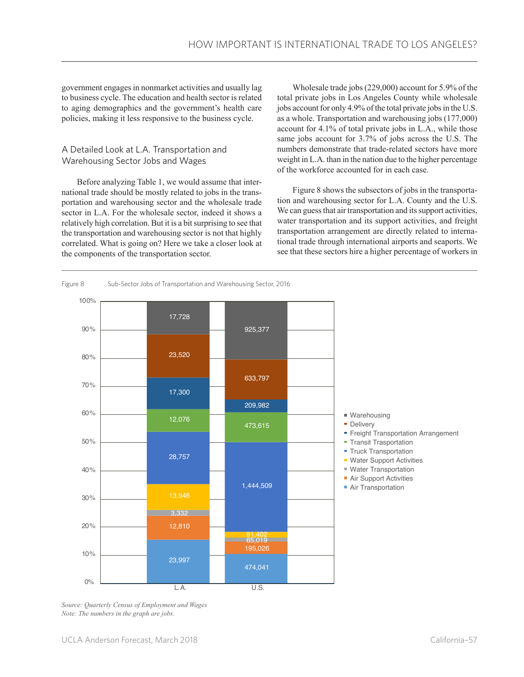government engages in nonmarket activities and usually lag to business cycle. The education and health sector is related to aging demographics and the government's health care policies, making it less responsive to the business cycle.

# A Detailed Look at L.A. Transportation and Warehousing Sector Jobs and Wages

Before analyzing Table 1, we would assume that international trade should be mostly related to jobs in the transportation and warehousing sector and the wholesale trade sector in L.A. For the wholesale sector, indeed it shows a relatively high correlation. But it is a bit surprising to see that the transportation and warehousing sector is not that highly correlated. What is going on? Here we take a closer look at the components of the transportation sector.

Wholesale trade jobs (229,000) account for 5.9% of the total private jobs in Los Angeles County while wholesale jobs account for only 4.9% of the total private jobs in the U.S. as a whole. Transportation and warehousing jobs (177,000) account for 4.1% of total private jobs in L.A., while those same jobs account for 3.7% of jobs across the U.S. The numbers demonstrate that trade-related sectors have more weight in L.A. than in the nation due to the higher percentage of the workforce accounted for in each case.

Figure 8 shows the subsectors of jobs in the transportation and warehousing sector for L.A. County and the U.S. We can guess that air transportation and its support activities, water transportation and its support activities, and freight transportation arrangement are directly related to international trade through international airports and seaports. We see that these sectors hire a higher percentage of workers in



*Source: Quarterly Census of Employment and Wages Note: The numbers in the graph are jobs.*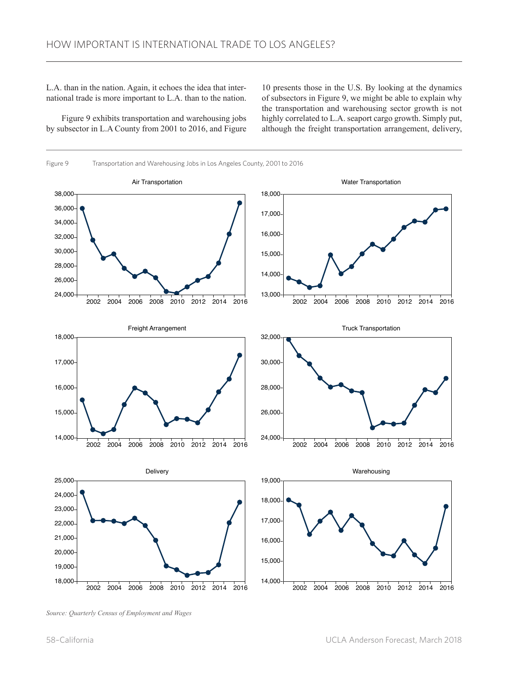L.A. than in the nation. Again, it echoes the idea that international trade is more important to L.A. than to the nation.

Figure 9 exhibits transportation and warehousing jobs by subsector in L.A County from 2001 to 2016, and Figure

10 presents those in the U.S. By looking at the dynamics of subsectors in Figure 9, we might be able to explain why the transportation and warehousing sector growth is not highly correlated to L.A. seaport cargo growth. Simply put, although the freight transportation arrangement, delivery,



*Source: Quarterly Census of Employment and Wages*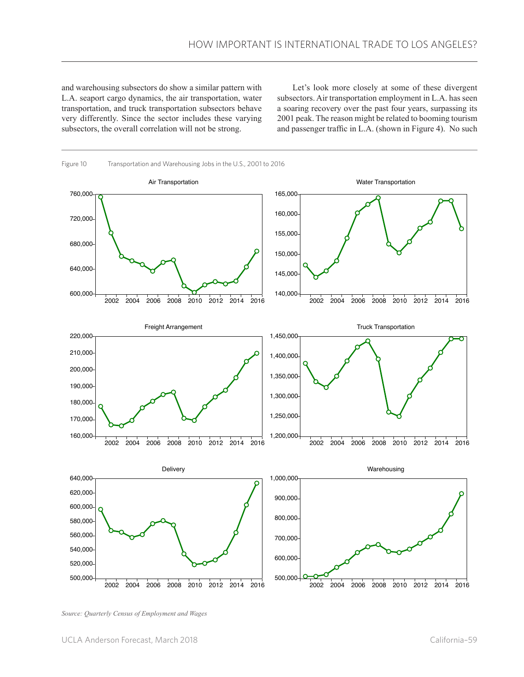and warehousing subsectors do show a similar pattern with L.A. seaport cargo dynamics, the air transportation, water transportation, and truck transportation subsectors behave very differently. Since the sector includes these varying subsectors, the overall correlation will not be strong.

Let's look more closely at some of these divergent subsectors. Air transportation employment in L.A. has seen a soaring recovery over the past four years, surpassing its 2001 peak. The reason might be related to booming tourism and passenger traffic in L.A. (shown in Figure 4). No such



*Source: Quarterly Census of Employment and Wages*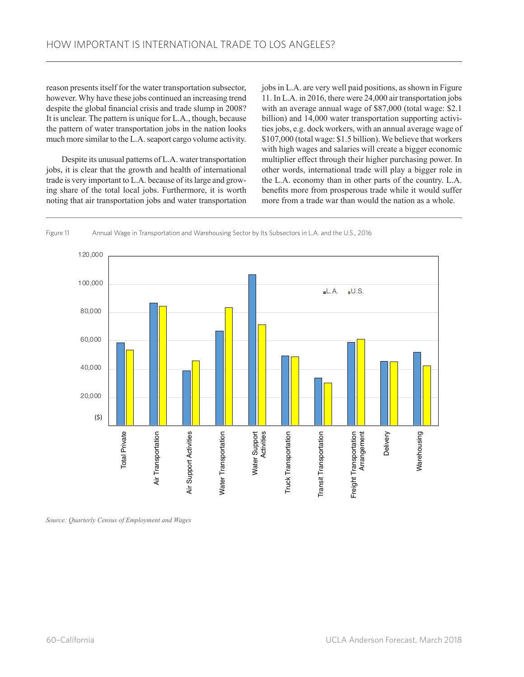reason presents itself for the water transportation subsector, however. Why have these jobs continued an increasing trend despite the global financial crisis and trade slump in 2008? It is unclear. The pattern is unique for L.A., though, because the pattern of water transportation jobs in the nation looks much more similar to the L.A. seaport cargo volume activity.

Despite its unusual patterns of L.A. water transportation jobs, it is clear that the growth and health of international trade is very important to L.A. because of its large and growing share of the total local jobs. Furthermore, it is worth noting that air transportation jobs and water transportation

jobs in L.A. are very well paid positions, as shown in Figure 11. In L.A. in 2016, there were 24,000 air transportation jobs with an average annual wage of \$87,000 (total wage: \$2.1 billion) and 14,000 water transportation supporting activities jobs, e.g. dock workers, with an annual average wage of \$107,000 (total wage: \$1.5 billion). We believe that workers with high wages and salaries will create a bigger economic multiplier effect through their higher purchasing power. In other words, international trade will play a bigger role in the L.A. economy than in other parts of the country. L.A. benefits more from prosperous trade while it would suffer more from a trade war than would the nation as a whole.



#### Figure 11 Annual Wage in Transportation and Warehousing Sector by Its Subsectors in L.A. and the U.S., 2016

*Source: Quarterly Census of Employment and Wages*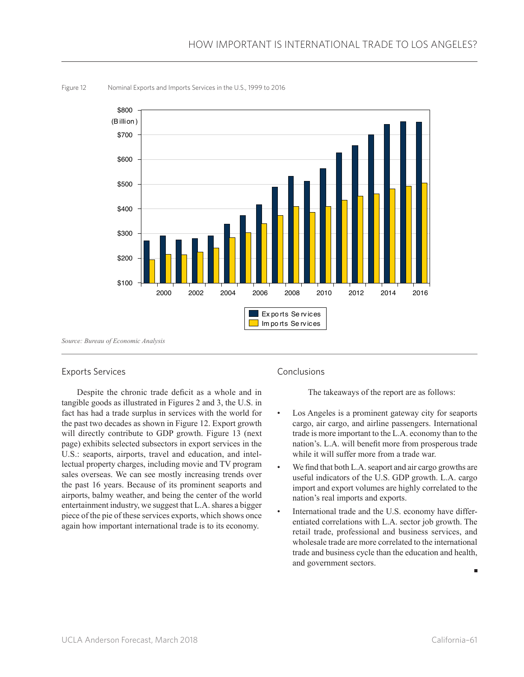

Figure 12 Nominal Exports and Imports Services in the U.S., 1999 to 2016

# Exports Services

Despite the chronic trade deficit as a whole and in tangible goods as illustrated in Figures 2 and 3, the U.S. in fact has had a trade surplus in services with the world for the past two decades as shown in Figure 12. Export growth will directly contribute to GDP growth. Figure 13 (next page) exhibits selected subsectors in export services in the U.S.: seaports, airports, travel and education, and intellectual property charges, including movie and TV program sales overseas. We can see mostly increasing trends over the past 16 years. Because of its prominent seaports and airports, balmy weather, and being the center of the world entertainment industry, we suggest that L.A. shares a bigger piece of the pie of these services exports, which shows once again how important international trade is to its economy.

# Conclusions

The takeaways of the report are as follows:

- Los Angeles is a prominent gateway city for seaports cargo, air cargo, and airline passengers. International trade is more important to the L.A. economy than to the nation's. L.A. will benefit more from prosperous trade while it will suffer more from a trade war.
- We find that both L.A. seaport and air cargo growths are useful indicators of the U.S. GDP growth. L.A. cargo import and export volumes are highly correlated to the nation's real imports and exports.
- International trade and the U.S. economy have differentiated correlations with L.A. sector job growth. The retail trade, professional and business services, and wholesale trade are more correlated to the international trade and business cycle than the education and health, and government sectors.